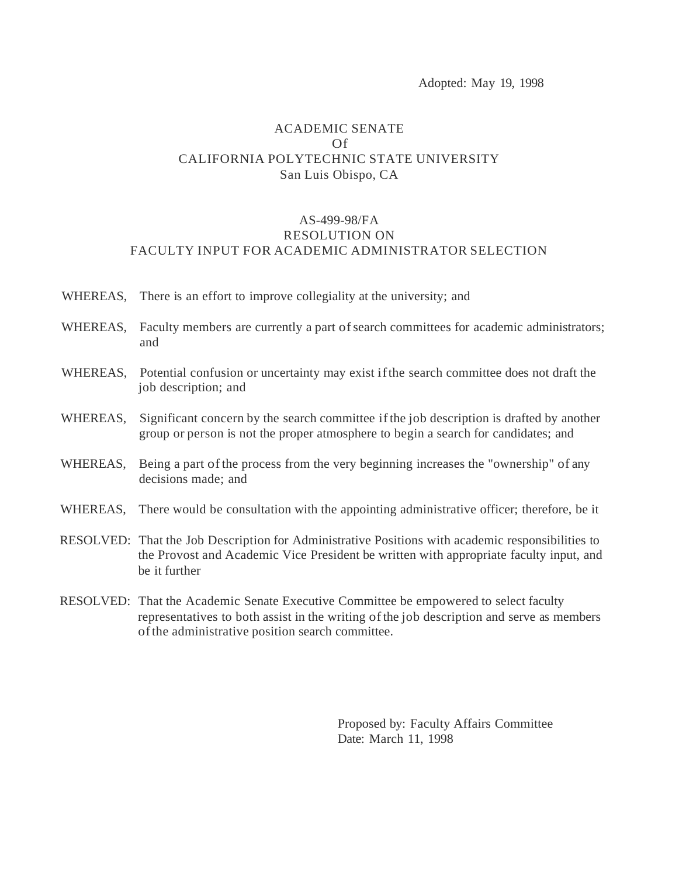Adopted: May 19, 1998

## ACADEMIC SENATE Of CALIFORNIA POLYTECHNIC STATE UNIVERSITY San Luis Obispo, CA

## AS-499-98/FA RESOLUTION ON FACULTY INPUT FOR ACADEMIC ADMINISTRATOR SELECTION

- WHEREAS, There is an effort to improve collegiality at the university; and
- WHEREAS, Faculty members are currently a part of search committees for academic administrators; and
- WHEREAS, Potential confusion or uncertainty may exist if the search committee does not draft the job description; and
- WHEREAS, Significant concern by the search committee if the job description is drafted by another group or person is not the proper atmosphere to begin a search for candidates; and
- WHEREAS, Being a part of the process from the very beginning increases the "ownership" of any decisions made; and
- WHEREAS, There would be consultation with the appointing administrative officer; therefore, be it
- RESOLVED: That the Job Description for Administrative Positions with academic responsibilities to the Provost and Academic Vice President be written with appropriate faculty input, and be it further
- RESOLVED: That the Academic Senate Executive Committee be empowered to select faculty representatives to both assist in the writing of the job description and serve as members of the administrative position search committee.

Proposed by: Faculty Affairs Committee Date: March 11, 1998